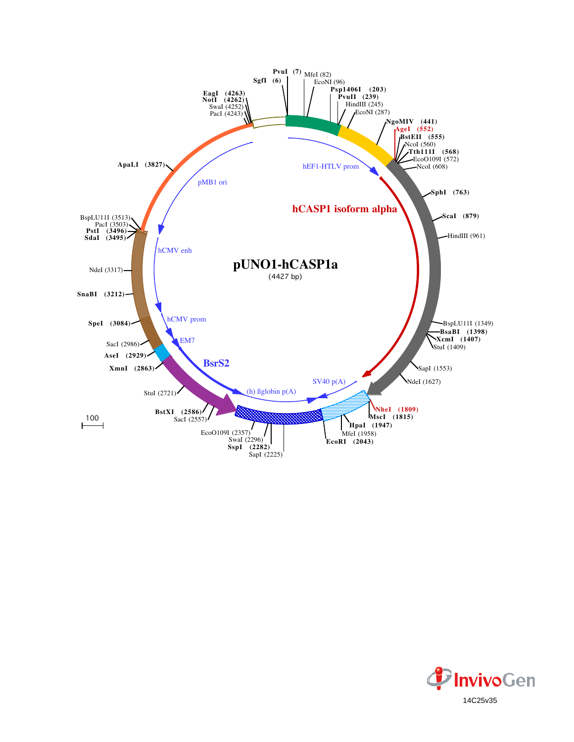

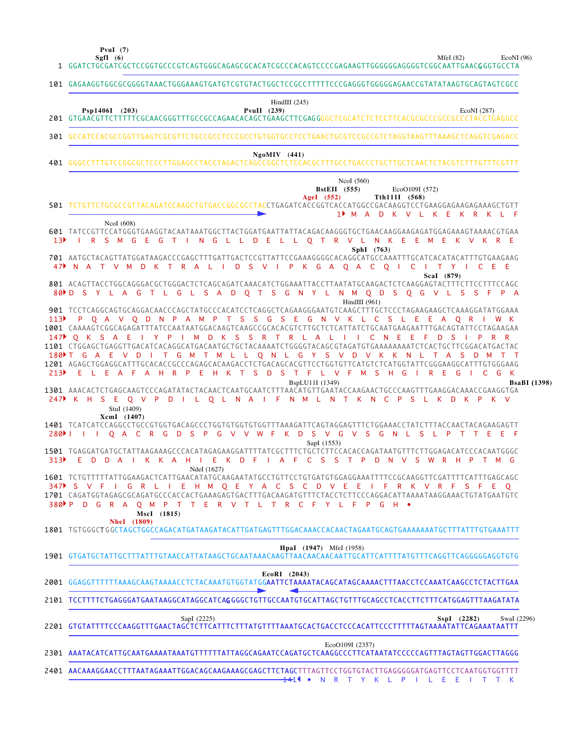**SgfI (6) PvuI (7)**

MfeI (82) EcoNI (96)

|                  | 1 GGATCTGCGATCGCTCCGGTGCCCGTCAGTGGGCAGAGCGCACATCGCCCACAGTCCCCGAGAAGTTGGGGGGAGGGTCGGCAATTGAAC <b>G</b> GGTGCCTA                                                                                                                                                                                                                                                       |
|------------------|----------------------------------------------------------------------------------------------------------------------------------------------------------------------------------------------------------------------------------------------------------------------------------------------------------------------------------------------------------------------|
|                  | 101 GAGAAGGTGGCGCGGGGTAAACTGGGAAAGTGATGTCGTGTACTGGCTCCGCCTTTTTCCCGAGGGTGGGGGAACCGTATATAAGTGCAGTAGTCGCC                                                                                                                                                                                                                                                               |
|                  | HindIII $(245)$<br>Psp1406I (203)<br>$PvuII$ (239)<br>EcoNI (287)                                                                                                                                                                                                                                                                                                    |
|                  | 301 GCCATCCACGCCGGTTGAGTCGCGTTCTGCCGCCTCCCGCCTGTGGTGCCTCCTGAACTGCGTCCGCCGTCTAGGTAAGTTTAAAGCTCAGGTCGAGACC                                                                                                                                                                                                                                                             |
|                  | $NgoMIV$ (441)                                                                                                                                                                                                                                                                                                                                                       |
|                  | NcoI (560)<br><b>BstEII</b> (555)<br>EcoO109I (572)<br>AgeI $(552)$<br>Tth111I (568)                                                                                                                                                                                                                                                                                 |
|                  | 501 TCTGTTCTGCGCCGTTACAGATCCAAGCTGTGACCGGCGCCTACCTGAGATCACCGGTCACCATGGCCGACAAGGTCCTGAAGGAGAAGAAAGCTGTT<br>$1$ M A<br>D<br>K V L K E K R K L F                                                                                                                                                                                                                        |
| 13 <sup>b</sup>  | NcoI (608)<br>601 TATCCGTTCCATGGGTGAAGGTACAATAAATGGCTTACTGGATGAATTATTACAGACAAGGGTGCTGAACAAGGAAGAGATGGAGAAAGTAAAACGTGAA<br>I R S M G E G T I N G L L D E L L O T R V L N K E E M E K V K R E                                                                                                                                                                          |
|                  | SphI (763)<br>47 N A T V M D K T R A L I D S V I P K G A O A C O I C I T Y I C E E<br>Scal (879)                                                                                                                                                                                                                                                                     |
| $80$ ⊳ D         | 801 ACAGTTACCTGGCAGGGACGCTGGGACTCTCAGCAGATCAAACATCTGGAAATTACCTTAATATGCAAGACTCTCAAGGAGTACTTTCTTCCTTTCCAGC<br>Y L A G T L G L S A D Q T S G N Y L N M Q D S Q G V L S<br>- S<br>S.<br>HindIII $(961)$                                                                                                                                                                  |
| 113 <sup>2</sup> | 901 TCCTCAGGCAGTGCAGGACAACCCAGCTATGCCCACATCCTCAGGCTCAGAAGGGAATGTCAAGCTTTGCTCCCTAGAAGAAGCTCAAAGGATATGGAAA<br>P Q A V Q D N P A M P T S S G S E G N V K L C S L E E A Q R<br>1001 CAAAAGTCGGCAGAGATTTATCCAATAATGGACAAGTCAAGCCGCACACGTCTTGCTCTCATTATCTGCAATGAAGAATTTGACAGTATTCCTAGAAGAA                                                                                 |
|                  | 147▶ O K S A E I Y P I M D K S S R T R L A L I I C N E E<br>- F<br>D<br>- S<br>180 T G A E V D I T G M T M L L Q N L G Y S V D V K K<br>N L<br>T A S D M T                                                                                                                                                                                                           |
| 213              | 1201 AGAGCTGGAGGCATTTGCACACCGCCCAGAGCACAAGACCTCTGACAGCACGTTCCTGGTGTTCATGTCTCATGGTATTCGGGAAGGCATTTGTGGGAAG<br>E L E A F A H R P E H K T S D S T F L V F M S H G<br>$\mathsf{I}$ R E<br>$-$ G<br>$\Box$ C G<br>K<br>BspLU11I (1349)<br><b>BsaBI</b> (1398)                                                                                                             |
|                  | 1301 AAACACTCTGAGCAAGTCCCAGATATACTACAACTCAATGCAATCTTTAACATGTTGAATACCAAGAACTGCCCAAGTTTGAAGGACAAACCGAAGGTGA<br>247 KH SEO V P D I L O L N A I F N M L N T K N C P S L K D K P K V<br>StuI (1409)                                                                                                                                                                       |
|                  | XcmI (1407)<br>280 I I I Q A C R G D S P G V V W F K D S V G V S G N L S L P T T E E F<br>SapI (1553)                                                                                                                                                                                                                                                                |
| 313 <sup>2</sup> | 1501 TGAGGATGATGCTATTAAGAAAGCCCACATAGAGAAGGATTTTATCGCTTTCTGCTCTTCCACACCAGATAATGTTTCTTGGAGACATCCCACAATGGC<br>I K K A H I E K D F I A F C S S T P D N V S W R H P<br>EDDA<br>TMG<br>NdeI (1627)                                                                                                                                                                        |
|                  | 1601 TCTGTTTTTATTGGAAGACTCATTGAACATATGCAAGAATATGCCTGTTCCTGTGATGTGGAGGAAATTTTCCGCAAGGTTCGATTTTCATTTGAGCAGC<br>347 S V F I G R L<br>I E H M Q E Y A C S C D V E<br>F R K V R F S F E<br>- E<br>1701 CAGATGGTAGAGCGCAGATGCCCACCACTGAAAGAGTGACTTTGACAAGATGTTTCTACCTCTTCCCAGGACATTAAAATAAGGAAACTGTATGAATGTC<br>380 P D G R A<br>Q M P T T E R V T L T R C F Y L F P G H • |
|                  | MscI (1815)<br><b>NheI</b> (1809)<br>1801 TGTGGGCTGGCTAGCTGGCCAGACATGATAAGATACATTGATGAGTTTGGACAAACCACAACTAGAATGCAGTGAAAAAAATGCTTTATTTGTGAAATTT                                                                                                                                                                                                                       |
|                  | <b>HpaI</b> (1947) MfeI (1958)                                                                                                                                                                                                                                                                                                                                       |
|                  | EcoRI (2043)<br>2001 GGAGGTTTTTTAAAGCAAGTAAAACCTCTACAAATGTGGTATGG <b>AATTCTAAAATACAGCATAGCAAAACTTTAACCTCCAAATCAAGCCTCTACTTGAA</b>                                                                                                                                                                                                                                    |
|                  | 2101 TCCTTTTCTGAGGGATGAATAAGGCATAGGCATCAGGGGCTGTTGCCAATGTGCATTAGCTGTTTGCAGCCTCACCTTCTTTCATGGAGTTTAAGATATA                                                                                                                                                                                                                                                            |
|                  | SapI (2225)<br>$SspI$ (2282)<br>SwaI (2296)<br>2201 GTGTATTTTCCCAAGGTTTGAACTAGCTCTTCATTTCTTTATGTTTTAAATGCACTGACCTCCCACATTCCCTTTTTAGTAAAATATTCAGAAATAATTT                                                                                                                                                                                                             |
|                  | EcoO109I (2357)<br>2301 AAATACATCATTGCAATGAAAATAAATGTTTTTTATTAGGCAGAATCCAGATGCTCAAGGCCCTTCATAATATCCCCCAGTTTAGTAGTTGGACTTAGGG                                                                                                                                                                                                                                         |
|                  | 2401 AACAAAGGAACCTTTAATAGAAATTGGACAGCAAGAAAGCGAGCTTCTAGCTTTAGTTCCTGGTGTACTTGAGGGGGATGAGTTCCTCAATGGTGGTTTT                                                                                                                                                                                                                                                            |